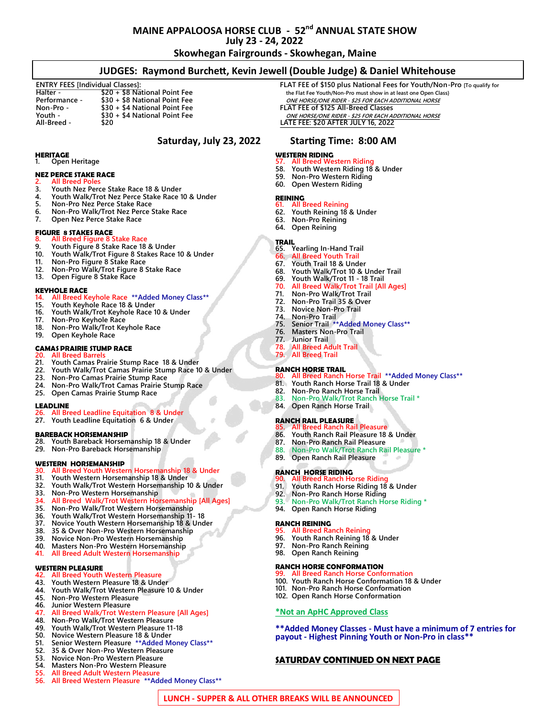# **MAINE APPALOOSA HORSE CLUB - 52nd ANNUAL STATE SHOW July 23 - 24, 2022**

**Skowhegan Fairgrounds - Skowhegan, Maine**

# **JUDGES: Raymond Burchett, Kevin Jewell (Double Judge) & Daniel Whitehouse**

| $$20 + $8$ National Point Fee<br>Halter -      |  |
|------------------------------------------------|--|
| \$30 + \$8 National Point Fee<br>Performance - |  |
| \$30 + \$4 National Point Fee<br>Non-Pro -     |  |
| \$30 + \$4 National Point Fee<br>Youth -       |  |
| All-Breed -<br>\$20                            |  |

### **HERITAGE**<br>1. Open **1. Open Heritage**

# **NEZ PERCE STAKE RACE**

# **2. All Breed Poles**

- **3. Youth Nez Perce Stake Race 18 & Under**
- **4. Youth Walk/Trot Nez Perce Stake Race 10 & Under**
- **5. Non-Pro Nez Perce Stake Race**
- **6. Non-Pro Walk/Trot Nez Perce Stake Race**
- **7. Open Nez Perce Stake Race**

- **FIGURE 8 STAKES RACE 8. All Breed Figure 8 Stake Race**
- **9. Youth Figure 8 Stake Race 18 & Under**
- **10. Youth Walk/Trot Figure 8 Stakes Race 10 & Under**
- **11. Non-Pro Figure 8 Stake Race**
- **12. Non-Pro Walk/Trot Figure 8 Stake Race**
- **13. Open Figure 8 Stake Race**

### **KEYHOLE RACE**

- **14. All Breed Keyhole Race \*\*Added Money Class\*\***
- **15. Youth Keyhole Race 18 & Under**
- **16. Youth Walk/Trot Keyhole Race 10 & Under**
- **17. Non-Pro Keyhole Race**
- **18. Non-Pro Walk/Trot Keyhole Race**
- **19. Open Keyhole Race**

## **CAMAS PRAIRIE STUMP RACE**

- **20. All Breed Barrels**
- **21. Youth Camas Prairie Stump Race 18 & Under**
- **22. Youth Walk/Trot Camas Prairie Stump Race 10 & Under**
- **23. Non-Pro Camas Prairie Stump Race**
- **24. Non-Pro Walk/Trot Camas Prairie Stump Race**
- **25. Open Camas Prairie Stump Race**

### **LEADLINE**

## **26. All Breed Leadline Equitation 8 & Under**

**27. Youth Leadline Equitation 6 & Under**

### **BAREBACK HORSEMANSHIP**

- **28. Youth Bareback Horsemanship 18 & Under**
- **29. Non-Pro Bareback Horsemanship**

### **WESTERN HORSEMANSHIP**

### **30. All Breed Youth Western Horsemanship 18 & Under**

- **31. Youth Western Horsemanship 18 & Under**
- **32. Youth Walk/Trot Western Horsemanship 10 & Under**
- **33. Non-Pro Western Horsemanship**
- **34. All Breed Walk/Trot Western Horsemanship [All Ages]**
- **35. Non-Pro Walk/Trot Western Horsemanship**
- **36. Youth Walk/Trot Western Horsemanship 11- 18**
- **37. Novice Youth Western Horsemanship 18 & Under**
- **38. 35 & Over Non-Pro Western Horsemanship**
- **39. Novice Non-Pro Western Horsemanship**
- **40. Masters Non-Pro Western Horsemanship**
- **41. All Breed Adult Western Horsemanship**

- **WESTERN PLEASURE 42. All Breed Youth Western Pleasure 43. Youth Western Pleasure 18 & Under**
- 
- **44. Youth Walk/Trot Western Pleasure 10 & Under 45. Non-Pro Western Pleasure**
- **46. Junior Western Pleasure**
- 
- **47. All Breed Walk/Trot Western Pleasure [All Ages] 48. Non-Pro Walk/Trot Western Pleasure**
- **49. Youth Walk/Trot Western Pleasure 11-18**
- **50. Novice Western Pleasure 18 & Under**
- **51. Senior Western Pleasure \*\*Added Money Class\*\***
- **52. 35 & Over Non-Pro Western Pleasure**
- **53. Novice Non-Pro Western Pleasure**
- **54. Masters Non-Pro Western Pleasure**
- **55. All Breed Adult Western Pleasure**
- **56. All Breed Western Pleasure \*\*Added Money Class\*\***

**ENTRY FEES [Individual Classes]: FLAT FEE of \$150 plus National Fees for Youth/Non-Pro [To qualify for**   $the$  Flat Fee Youth/Non-Pro must show in at least one Open Class} **Performance - \$30 + \$8 National Point Fee ONE HORSE/ONE RIDER - \$25 FOR EACH ADDITIONAL HORSE Non-Pro - \$30 + \$4 National Point Fee FLAT FEE of \$125 All-Breed Classes Youth - \$30 + \$4 National Point Fee ONE HORSE/ONE RIDER - \$25 FOR EACH ADDITIONAL HORSE All-Breed - \$20 LATE FEE: \$20 AFTER JULY 16, 2022**

# **Saturday, July 23, 2022 Starting Time: 8:00 AM**

### **WESTERN RIDING**

- **57. All Breed Western Riding**
- **58. Youth Western Riding 18 & Under 59. Non-Pro Western Riding**
- **60. Open Western Riding**
- 

# **REINING**

- **61. All Breed Reining 62. Youth Reining 18 & Under**
- **63. Non-Pro Reining**
- **64. Open Reining**

- **TRAIL 65. Yearling In-Hand Trail**
- **66. All Breed Youth Trail**
- **67. Youth Trail 18 & Under**
- **68. Youth Walk/Trot 10 & Under Trail**
- **69. Youth Walk/Trot 11 - 18 Trail**
- **70. All Breed Walk/Trot Trail [All Ages]**
- **71. Non-Pro Walk/Trot Trail**
- **72. Non-Pro Trail 35 & Over**
- **73. Novice Non-Pro Trail**
- **74. Non-Pro Trail**
- **75. Senior Trail \*\*Added Money Class\*\***
- **76. Masters Non-Pro Trail**
- **77. Junior Trail**
- **78. All Breed Adult Trail**
- **79. All Breed Trail**

**LUNCH - SUPPER & ALL OTHER BREAKS WILL BE ANNOUNCED**

# **RANCH HORSE TRAIL**

- **80. All Breed Ranch Horse Trail \*\*Added Money Class\*\***
- **81. Youth Ranch Horse Trail 18 & Under**

**84. Open Ranch Horse Trail RANCH RAIL PLEASURE**

**89. Open Ranch Rail Pleasure RANCH HORSE RIDING**

**90. All Breed Ranch Horse Riding 91. Youth Ranch Horse Riding 18 & Under 92. Non-Pro Ranch Horse Riding**

**94. Open Ranch Horse Riding**

**95. All Breed Ranch Reining**

**97. Non-Pro Ranch Reining 98. Open Ranch Reining**

**RANCH HORSE CONFORMATION**

**RANCH REINING**

**93. Non-Pro Walk/Trot Ranch Horse Riding \***

**100. Youth Ranch Horse Conformation 18 & Under 101. Non-Pro Ranch Horse Conformation 102. Open Ranch Horse Conformation \*Not an ApHC Approved Class**

**SATURDAY CONTINUED ON NEXT PAGE**

**99. All Breed Ranch Horse Conformation**

**\*\*Added Money Classes - Must have a minimum of 7 entries for** 

**payout - Highest Pinning Youth or Non-Pro in class\*\***

**96. Youth Ranch Reining 18 & Under**

**82. Non-Pro Ranch Horse Trail 83. Non-Pro Walk/Trot Ranch Horse Trail \***

**85. All Breed Ranch Rail Pleasure 86. Youth Ranch Rail Pleasure 18 & Under 87. Non-Pro Ranch Rail Pleasure 88. Non-Pro Walk/Trot Ranch Rail Pleasure \***